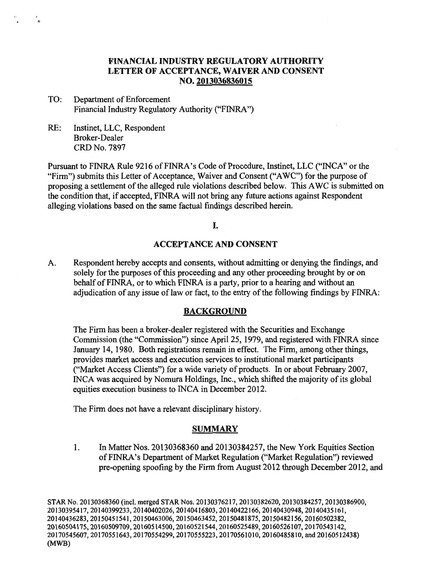# **FINANCIAL INDUSTRY REGULATORY AUTHORITY LETTER OF ACCEPTANCE, WAIVER AND CONSENT NO. 2013036836015**

- TO: Department of Enforcement Financial Industry Regulatory Authority ("FINRA")
- RE: Instinet, LLC, Respondent Broker-Dealer CRD No. 7897

Pursuant to FINRA Rule 9216 of FINRA's Code of Procedure, Instinet, LLC ("INCA" or the "Firm") submits this Letter of Acceptance, Waiver and Consent ("AWC") for the purpose of proposing a settlement of the alleged rule violations described below. This AWC is submitted on the condition that, if accepted, FINRA will not bring any future actions against Respondent alleging violations based on the same factual findings described herein.

I.

## **ACCEPTANCE AND CONSENT**

A. Respondent hereby accepts and consents, without admitting or denying the findings, and solely for the purposes of this proceeding and any other proceeding brought by or on behalf of FINRA, or to which FINRA is a party, prior to a hearing and without an adjudication of any issue of law or fact, to the entry of the following findings by FINRA:

#### **BACKGROUND**

The Firm has been a broker-dealer registered with the Securities and Exchange Commission (the "Commission") since April 25, 1979, and registered with FINRA since January 14, 1980. Both registrations remain in effect. The Firm, among other things, provides market access and execution services to institutional market participants ("Market Access Clients") for a wide variety of products. In or about February 2007, INCA was acquired by Nomura Holdings, Inc., which shifted the majority of its global equities execution business to INCA in December 2012.

The Firm does not have a relevant disciplinary history.

#### **SUMMARY**

1. In Matter Nos. 20130368360 and 20130384257, the New York Equities Section of FINRA's Department of Market Regulation ("Market Regulation") reviewed pre-opening spoofing by the Firm from August 2012 through December 2012, and

STAR No. 20130368360 (incl. merged STAR Nos. 20130376217, 20130382620, 20130384257, 20130386900, 20130395417, 20140399233, 20140402026, 20140416803, 20140422166, 20140430948, 20140435161, 20140436283, 20150451541, 20150463006, 20150463452, 20150481875, 20150482156, 20160502382, 20160504175, 20160509709, 20160514500, 20160521544, 20160525489, 20160526107, 20170543142, 20170545607, 20170551643, 20170554299, 20170555223, 20170561010, 20160485810, and 20160512438) (MWB)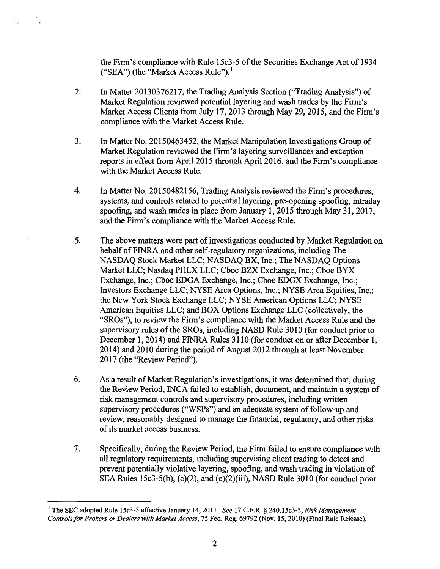the Firm's compliance with Rule 15c3-5 of the Securities Exchange Act of 1934 ("SEA") (the "Market Access Rule"). $<sup>1</sup>$ </sup>

- 2. In Matter 20130376217, the Trading Analysis Section ("Trading Analysis") of Market Regulation reviewed potential layering and wash trades by the Firm's Market Access Clients from July 17, 2013 through May 29, 2015, and the Firm's compliance with the Market Access Rule.
- 3. In Matter No. 20150463452, the Market Manipulation Investigations Group of Market Regulation reviewed the Firm's layering surveillances and exception reports in effect from April 2015 through April 2016, and the Firm's compliance with the Market Access Rule.
- 4. In Matter No. 20150482156, Trading Analysis reviewed the Firm's procedures, systems, and controls related to potential layering, pre-opening spoofing, intraday spoofing, and wash trades in place from January 1, 2015 through May 31, 2017, and the Firm's compliance with the Market Access Rule.
- 5. The above matters were part of investigations conducted by Market Regulation on behalf of FINRA and other self-regulatory organizations, including The NASDAQ Stock Market LLC; NASDAQ BX, Inc.; The NASDAQ Options Market LLC; Nasdaq PHLX LLC; Cboe BZX Exchange, Inc.; Cboe BYX Exchange, Inc.; Cboe EDGA Exchange, Inc.; Cboe EDGX Exchange, Inc.; Investors Exchange LLC; NYSE Arca Options, Inc.; NYSE Arca Equities, Inc.; the New York Stock Exchange LLC; NYSE American Options LLC; NYSE American Equities LLC; and BOX Options Exchange LLC (collectively, the "SROs"), to review the Firm's compliance with the Market Access Rule and the supervisory rules of the SROs, including NASD Rule 3010 (for conduct prior to December 1, 2014) and FINRA Rules 3110 (for conduct on or after December 1, 2014) and 2010 during the period of August 2012 through at least November 2017 (the "Review Period").
- 6. As a result of Market Regulation's investigations, it was determined that, during the Review Period, INCA failed to establish, document, and maintain a system of risk management controls and supervisory procedures, including written supervisory procedures ("WSPs") and an adequate system of follow-up and review, reasonably designed to manage the financial, regulatory, and other risks of its market access business.
- 7. Specifically, during the Review Period, the Finn failed to ensure compliance with all regulatory requirements, including supervising client trading to detect and prevent potentially violative layering, spoofing, and wash trading in violation of SEA Rules 15c3-5(b), (c)(2), and (c)(2)(iii), NASD Rule 3010 (for conduct prior

<sup>&</sup>lt;sup>1</sup> The SEC adopted Rule 15c3-5 effective January 14, 2011. See 17 C.F.R. § 240.15c3-5, Risk Management Controls for Brokers or Dealers with Market Access, 75 Fed. Reg. 69792 (Nov. 15, 2010) (Final Rule Release).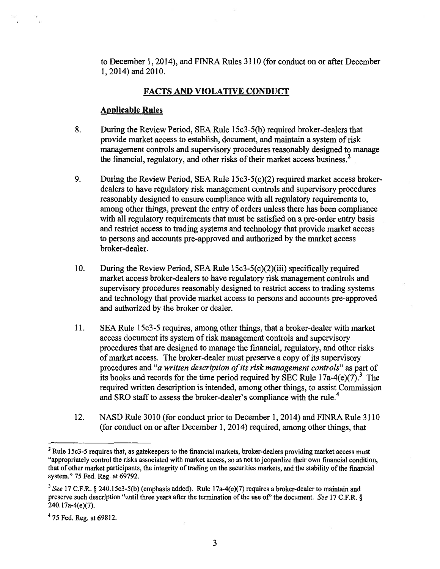to December 1, 2014), and FINRA Rules 3110 (for conduct on or after December 1,2014) and 2010.

# **FACTS AND VIOLATIVE CONDUCT**

## **Applicable Rules**

- 8. During the Review Period, SEA Rule 15c3-5(b) required broker-dealers that provide market access to establish, document, and maintain a system of risk management controls and supervisory procedures reasonably designed to manage the financial, regulatory, and other risks of their market access business.<sup>2</sup>
- 9. During the Review Period, SEA Rule 15c3-5(c)(2) required market access brokerdealers to have regulatory risk management controls and supervisory procedures reasonably designed to ensure compliance with all regulatory requirements to, among other things, prevent the entry of orders unless there has been compliance with all regulatory requirements that must be satisfied on a pre-order entry basis and restrict access to trading systems and technology that provide market access to persons and accounts pre-approved and authorized by the market access broker-dealer.
- 10. During the Review Period, SEA Rule 15c3-5(c)(2)(iii) specifically required market access broker-dealers to have regulatory risk management controls and supervisory procedures reasonably designed to restrict access to trading systems and technology that provide market access to persons and accounts pre-approved and authorized by the broker or dealer.
- 11. SEA Rule 15c3-5 requires, among other things, that a broker-dealer with market access document its system of risk management controls and supervisory procedures that are designed to manage the financial, regulatory, and other risks of market access. The broker-dealer must preserve a copy of its supervisory procedures and *"a written description of its risk management controls"* as part of its books and records for the time period required by SEC Rule  $17a-4(e)(7)^3$ . The required written description is intended, among other things, to assist Commission and SRO staff to assess the broker-dealer's compliance with the rule.<sup>4</sup>
- 12. NASD Rule 3010 (for conduct prior to December 1, 2014) and FINRA Rule 3110 (for conduct on or after December 1, 2014) required, among other things, that

 $2$  Rule 15c3-5 requires that, as gatekeepers to the financial markets, broker-dealers providing market access must "appropriately control the risks associated with market access, so as not to jeopardize their own financial condition, that of other market participants, the integrity of trading on the securities markets, and the stability of the financial system." 75 Fed. Reg. at 69792.

<sup>&</sup>lt;sup>3</sup> See 17 C.F.R. § 240.15c3-5(b) (emphasis added). Rule 17a-4(e)(7) requires a broker-dealer to maintain and preserve such description "until three years after the termination of the use of" the document. *See* 17 C.F.R. § 240.17a-4(e)(7).

<sup>4</sup>75 Fed. Reg. at 69812.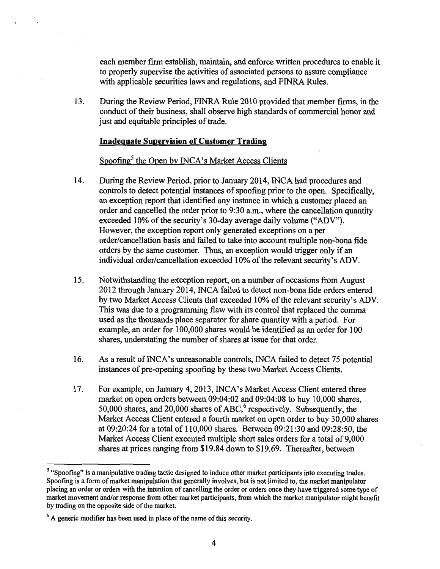each member firm establish, maintain, and enforce written procedures to enable it to properly supervise the activities of associated persons to assure compliance with applicable securities laws and regulations, and FINRA Rules.

13. During the Review Period, FINRA Rule 2010 provided that member firms, in the conduct of their business, shall observe high standards of commercial honor and just and equitable principles of trade.

## **Inadequate Supervision of Customer Trading**

## Spoofing $<sup>5</sup>$  the Open by INCA's Market Access Clients</sup>

- 14. During the Review Period, prior to January 2014, INCA had procedures and controls to detect potential instances of spoofing prior to the open. Specifically, an exception report that identified any instance in which a customer placed an order and cancelled the order prior to 9:30 a.m., where the cancellation quantity exceeded 10% of the security's 30-day average daily volume ("ADV"). However, the exception report only generated exceptions on a per order/cancellation basis and failed to take into account multiple non-bona fide orders by the same customer. Thus, an exception would trigger only if an individual order/cancellation exceeded 10% of the relevant security's ADV.
- 15. Notwithstanding the exception report, on a number of occasions from August 2012 through January 2014, INCA failed to detect non-bona fide orders entered by two Market Access Clients that exceeded 10% of the relevant security's ADV. This was due to a programming flaw with its control that replaced the comma used as the thousands place separator for share quantity with a period. For example, an order for 100,000 shares would be identified as an order for 100 shares, understating the number of shares at issue for that order.
- 16. As a result of INCA's unreasonable controls, INCA failed to detect 75 potential instances of pre-opening spoofing by these two Market Access Clients.
- 17. For example, on January 4, 2013, INCA's Market Access Client entered three market on open orders between 09:04:02 and 09:04:08 to buy 10,000 shares, 50,000 shares, and 20,000 shares of ABC,<sup>6</sup> respectively. Subsequently, the Market Access Client entered a fourth market on open order to buy 30,000 shares at 09:20:24 for a total of 110,000 shares. Between 09:21:30 and 09:28:50, the Market Access Client executed multiple short sales orders for a total of 9,000 shares at prices ranging from \$19.84 down to \$19.69. Thereafter, between

<sup>&</sup>lt;sup>5</sup> "Spoofing" is a manipulative trading tactic designed to induce other market participants into executing trades. Spoofmg is a form of market manipulation that generally involves, but is not limited to, the market manipulator placing an order or orders with the intention of cancelling the order or orders once they have triggered some type of market movement and/or response from other market participants, from which the market manipulator might benefit by trading on the opposite side of the market.

 $6$  A generic modifier has been used in place of the name of this security.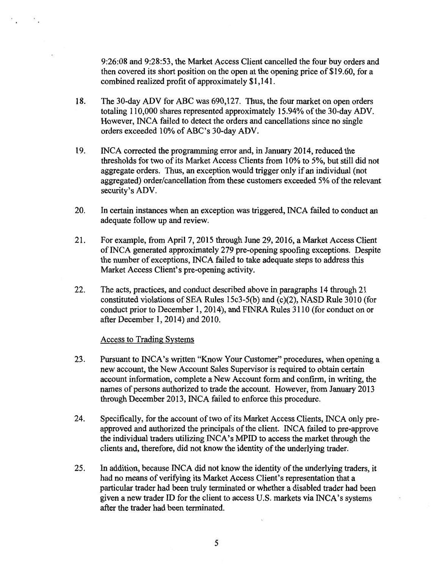9:26:08 and 9:28:53, the Market Access Client cancelled the four buy orders and then covered its short position on the open at the opening price of \$19.60, for a combined realized profit of approximately \$1,141.

- 18. The 30-day ADV for ABC was 690,127. Thus, the four market on open orders totaling 110,000 shares represented approximately 15.94% of the 30-day ADV. However, INCA failed to detect the orders and cancellations since no single orders exceeded 10% of ABC's 30-day ADV.
- 19. INCA corrected the programming error and, in January 2014, reduced the thresholds for two of its Market Access Clients from 10% to 5%, but still did not aggregate orders. Thus, an exception would trigger only if an individual (not aggregated) order/cancellation from these customers exceeded 5% of the relevant security's ADV.
- 20. In certain instances when an exception was triggered, INCA failed to conduct an adequate follow up and review.
- 21. For example, from April 7, 2015 through June 29, 2016, a Market Access Client of INCA generated approximately 279 pre-opening spoofing exceptions. Despite the number of exceptions, INCA failed to take adequate steps to address this Market Access Client's pre-opening activity.
- 22. The acts, practices, and conduct described above in paragraphs 14 through 21 constituted violations of SEA Rules 15c3-5(b) and (c)(2), NASD Rule 3010 (for conduct prior to December 1, 2014), and FINRA Rules 3110 (for conduct on or after December 1, 2014) and 2010.

#### Access to Trading Systems

- 23. Pursuant to INCA's written "Know Your Customer" procedures, when opening a new account, the New Account Sales Supervisor is required to obtain certain account information, complete a New Account form and confirm, in writing, the names of persons authorized to trade the account. However, from January 2013 through December 2013, INCA failed to enforce this procedure.
- 24. Specifically, for the account of two of its Market Access Clients, INCA only preapproved and authorized the principals of the client. INCA failed to pre-approve the individual traders utilizing INCA's MPID to access the market through the clients and, therefore, did not know the identity of the underlying trader.
- 25. In addition, because INCA did not know the identity of the underlying traders, it had no means of verifying its Market Access Client's representation that a particular trader had been truly terminated or whether a disabled trader had been given a new trader ID for the client to access U.S. markets via INCA's systems after the trader had been terminated.

5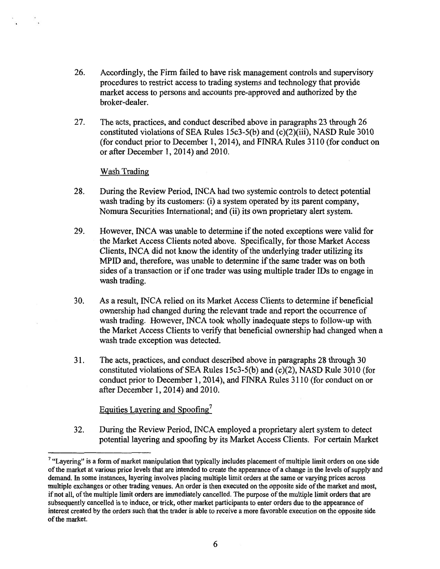- 26. Accordingly, the Firm failed to have risk management controls and supervisory procedures to restrict access to trading systems and technology that provide market access to persons and accounts pre-approved and authorized by the broker-dealer.
- 27. The acts, practices, and conduct described above in paragraphs 23 through 26 constituted violations of SEA Rules 15c3-5(b) and (c)(2)(iii), NASD Rule 3010 (for conduct prior to December 1, 2014), and FINRA Rules 3110 (for conduct on or after December 1, 2014) and 2010.

#### Wash Trading

- 28. During the Review Period, INCA had two systemic controls to detect potential wash trading by its customers: (i) a system operated by its parent company, Nomura Securities International; and (ii) its own proprietary alert system.
- 29. However, INCA was unable to determine if the noted exceptions were valid for the Market Access Clients noted above. Specifically, for those Market Access Clients, INCA did not know the identity of the underlying trader utilizing its MPID and, therefore, was unable to determine if the same trader was on both sides of a transaction or if one trader was using multiple trader IDs to engage in wash trading.
- 30. As a result, INCA relied on its Market Access Clients to determine if beneficial ownership had changed during the relevant trade and report the occurrence of wash trading. However, INCA took wholly inadequate steps to follow-up with the Market Access Clients to verify that beneficial ownership had changed when a wash trade exception was detected.
- 31. The acts, practices, and conduct described above in paragraphs 28 through 30 constituted violations of SEA Rules 15c3-5(b) and (c)(2), NASD Rule 3010 (for conduct prior to December 1, 2014), and FINRA Rules 3110 (for conduct on or after December 1, 2014) and 2010.

## Equities Layering and Spoofing

32. During the Review Period, INCA employed a proprietary alert system to detect potential layering and spoofing by its Market Access Clients. For certain Market

<sup>&</sup>lt;sup>7</sup> "Layering" is a form of market manipulation that typically includes placement of multiple limit orders on one side of the market at various price levels that are intended to create the appearance of a change in the levels of supply and demand. In some instances, layering involves placing multiple limit orders at the same or varying prices across multiple exchanges or other trading venues. An order is then executed on the opposite side of the market and most, if not all, of the multiple limit orders are immediately cancelled. The purpose of the multiple limit orders that are subsequently cancelled is to induce, or trick, other market participants to enter orders due to the appearance of interest created by the orders such that the trader is able to receive a more favorable execution on the opposite side of the market.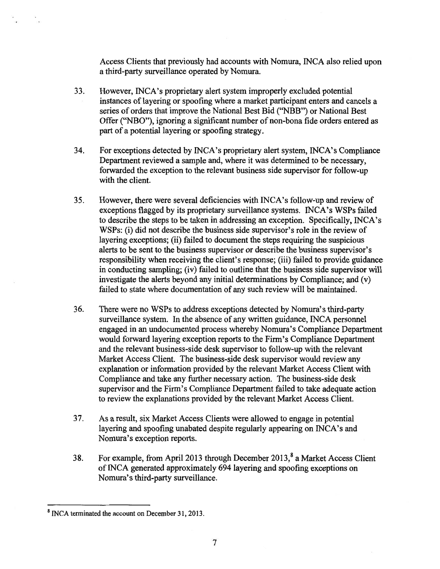Access Clients that previously had accounts with Nomura, INCA also relied upon a third-party surveillance operated by Nomura.

- 33. However, INCA's proprietary alert system improperly excluded potential instances of layering or spoofing where a market participant enters and cancels a series of orders that improve the National Best Bid ("NBB") or National Best Offer ("NBO"), ignoring a significant number of non-bona fide orders entered as part of a potential layering or spoofing strategy.
- 34. For exceptions detected by INCA's proprietary alert system, INCA's Compliance Department reviewed a sample and, where it was determined to be necessary, forwarded the exception to the relevant business side supervisor for follow-up with the client.
- 35. However, there were several deficiencies with INCA's follow-up and review of exceptions flagged by its proprietary surveillance systems. INCA's WSPs failed to describe the steps to be taken in addressing an exception. Specifically, INCA's WSPs: (i) did not describe the business side supervisor's role in the review of layering exceptions; (ii) failed to document the steps requiring the suspicious alerts to be sent to the business supervisor or describe the business supervisor's responsibility when receiving the client's response; (iii) failed to provide guidance in conducting sampling; (iv) failed to outline that the business side supervisor will investigate the alerts beyond any initial determinations by Compliance; and (v) failed to state where documentation of any such review will be maintained.
- 36. There were no WSPs to address exceptions detected by Nomura's third-party surveillance system. In the absence of any written guidance, INCA personnel engaged in an undocumented process whereby Nomura's Compliance Department would forward layering exception reports to the Firm's Compliance Department and the relevant business-side desk supervisor to follow-up with the relevant Market Access Client. The business-side desk supervisor would review any explanation or information provided by the relevant Market Access Client with Compliance and take any further necessary action. The business-side desk supervisor and the Firm's Compliance Department failed to take adequate action to review the explanations provided by the relevant Market Access Client.
- 37. As a result, six Market Access Clients were allowed to engage in potential layering and spoofing unabated despite regularly appearing on INCA's and Nomura's exception reports.
- 38. For example, from April 2013 through December  $2013$ ,  $a$  Market Access Client of INCA generated approximately 694 layering and spoofing exceptions on Nomura's third-party surveillance.

**<sup>8</sup>**INCA terminated the account on December 31, 2013.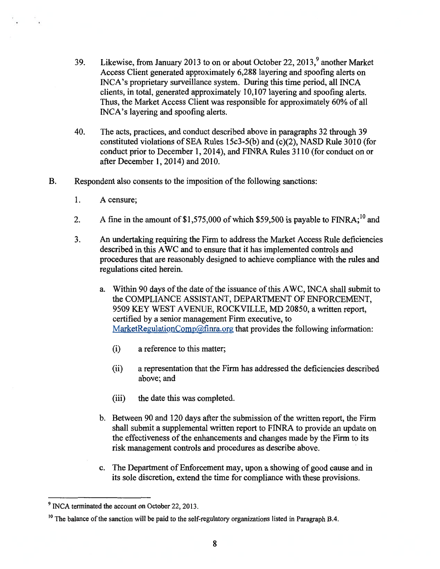- 39. Likewise, from January 2013 to on or about October 22, 2013,  $9^9$  another Market Access Client generated approximately 6,288 layering and spoofing alerts on INCA's proprietary surveillance system. During this time period, all INCA clients, in total, generated approximately 10,107 layering and spoofing alerts. Thus, the Market Access Client was responsible for approximately 60% of all INCA's layering and spoofing alerts.
- 40. The acts, practices, and conduct described above in paragraphs 32 through 39 constituted violations of SEA Rules 15c3-5(b) and (c)(2), NASD Rule 3010 (for conduct prior to December 1, 2014), and FINRA Rules 3110 (for conduct on or after December 1, 2014) and 2010.
- B. Respondent also consents to the imposition of the following sanctions:
	- 1. A censure;
	- 2. A fine in the amount of \$1,575,000 of which \$59,500 is payable to  $FINRA$ ;<sup>10</sup> and
	- 3. An undertaking requiring the Firm to address the Market Access Rule deficiencies described in this AWC and to ensure that it has implemented controls and procedures that are reasonably designed to achieve compliance with the rules and regulations cited herein.
		- a. Within 90 days of the date of the issuance of this AWC, INCA shall submit to the COMPLIANCE ASSISTANT, DEPARTMENT OF ENFORCEMENT, 9509 KEY WEST AVENUE, ROCKVILLE, MD 20850, a written report, certified by a senior management Firm executive, to MarketRegulationComp@finra.org that provides the following information:
			- (i) a reference to this matter;
			- (ii) a representation that the Firm has addressed the deficiencies described above; and
			- (iii) the date this was completed.
		- b. Between 90 and 120 days after the submission of the written report, the Firm shall submit a supplemental written report to FINRA to provide an update on the effectiveness of the enhancements and changes made by the Firm to its risk management controls and procedures as describe above.
		- c. The Department of Enforcement may, upon a showing of good cause and in its sole discretion, extend the time for compliance with these provisions.

<sup>&</sup>lt;sup>9</sup> INCA terminated the account on October 22, 2013.

<sup>&</sup>lt;sup>10</sup> The balance of the sanction will be paid to the self-regulatory organizations listed in Paragraph B.4.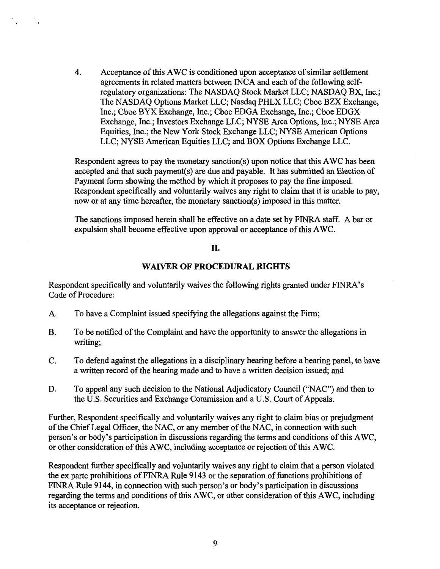4. Acceptance of this AWC is conditioned upon acceptance of similar settlement agreements in related matters between INCA and each of the following selfregulatory organizations: The NASDAQ Stock Market LLC; NASDAQ BX, Inc.; The NASDAQ Options Market LLC; Nasdaq PHLX LLC; Cboe BZX Exchange, Inc.; Cboe BYX Exchange, Inc.; Cboe EDGA Exchange, Inc.; Cboe EDGX Exchange, Inc.; Investors Exchange LLC; NYSE Arca Options, Inc.; NYSE Arca Equities, Inc.; the New York Stock Exchange LLC; NYSE American Options LLC; NYSE American Equities LLC; and BOX Options Exchange LLC.

Respondent agrees to pay the monetary sanction(s) upon notice that this AWC has been accepted and that such payment(s) are due and payable. It has submitted an Election of Payment form showing the method by which it proposes to pay the fine imposed. Respondent specifically and voluntarily waives any right to claim that it is unable to pay, now or at any time hereafter, the monetary sanction(s) imposed in this matter.

The sanctions imposed herein shall be effective on a date set by FINRA staff. A bar or expulsion shall become effective upon approval or acceptance of this AWC.

### II.

#### **WAIVER OF PROCEDURAL RIGHTS**

Respondent specifically and voluntarily waives the following rights granted under F1NRA's Code of Procedure:

- A. To have a Complaint issued specifying the allegations against the Firm;
- B. To be notified of the Complaint and have the opportunity to answer the allegations in writing;
- C. To defend against the allegations in a disciplinary hearing before a hearing panel, to have a written record of the hearing made and to have a written decision issued; and
- D. To appeal any such decision to the National Adjudicatory Council ("NAC") and then to the U.S. Securities and Exchange Commission and a U.S. Court of Appeals.

Further, Respondent specifically and voluntarily waives any right to claim bias or prejudgment of the Chief Legal Officer, the NAC, or any member of the NAC, in connection with such person's or body's participation in discussions regarding the terms and conditions of this AWC, or other consideration of this AWC, including acceptance or rejection of this AWC.

Respondent further specifically and voluntarily waives any right to claim that a person violated the ex parte prohibitions of FINRA Rule 9143 or the separation of functions prohibitions of FINRA Rule 9144, in connection with such person's or body's participation in discussions regarding the terms and conditions of this AWC, or other consideration of this AWC, including its acceptance or rejection.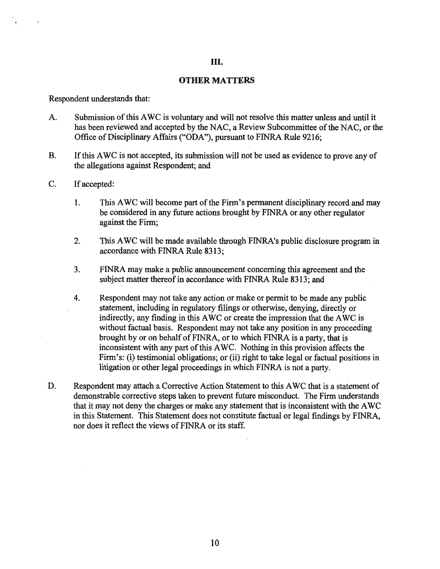# III.

### **OTHER MATTERS**

Respondent understands that:

- A. Submission of this AWC is voluntary and will not resolve this matter unless and until it has been reviewed and accepted by the NAC, a Review Subcommittee of the NAC, or the Office of Disciplinary Affairs ("ODA"), pursuant to FINRA Rule 9216;
- B. If this AWC is not accepted, its submission will not be used as evidence to prove any of the allegations against Respondent; and
- C. If accepted:
	- 1. This AWC will become part of the Firm's permanent disciplinary record and may be considered in any future actions brought by FINRA or any other regulator against the Firm;
	- 2. This AWC will be made available through FINRA's public disclosure program in accordance with FINRA Rule 8313;
	- 3. FINRA may make a public announcement concerning this agreement and the subject matter thereof in accordance with FINRA Rule 8313; and
	- 4. Respondent may not take any action or make or permit to be made any public statement, including in regulatory filings or otherwise, denying, directly or indirectly, any finding in this AWC or create the impression that the AWC is without factual basis. Respondent may not take any position in any proceeding brought by or on behalf of FINRA, or to which FINRA is a party, that is inconsistent with any part of this AWC. Nothing in this provision affects the Firm's: (i) testimonial obligations; or (ii) right to take legal or factual positions in litigation or other legal proceedings in which FINRA is not a party.
- D. Respondent may attach a Corrective Action Statement to this AWC that is a statement of demonstrable corrective steps taken to prevent future misconduct. The Firm understands that it may not deny the charges or make any statement that is inconsistent with the AWC in this Statement. This Statement does not constitute factual or legal findings by FINRA, nor does it reflect the views of FINRA or its staff.